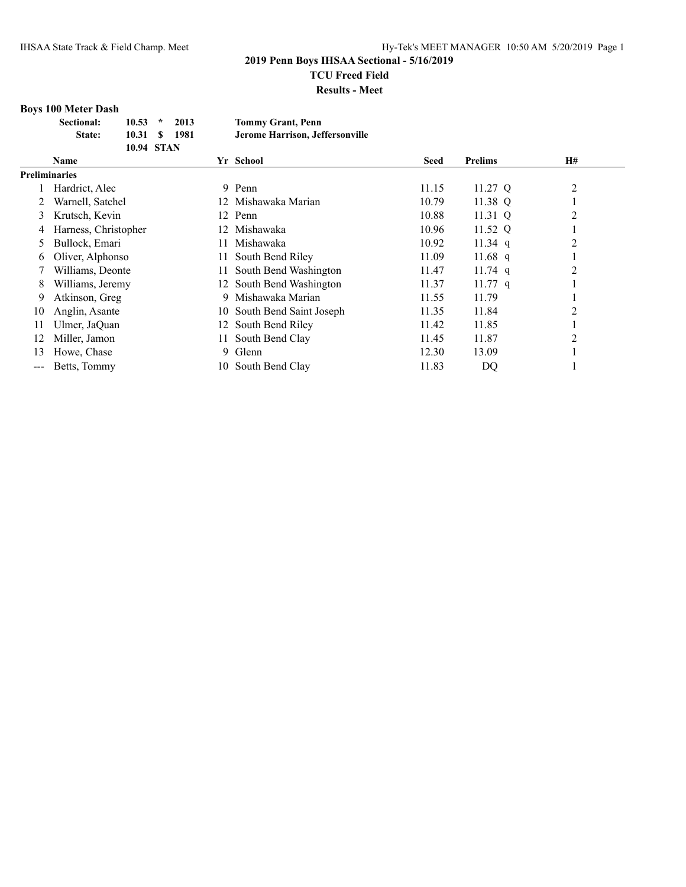**Results - Meet**

## **Boys 100 Meter Dash**

| <b>Sectional:</b> | $10.53$ *  | 2013 | <b>Tommy Grant, Penn</b>        |
|-------------------|------------|------|---------------------------------|
| State:            | 10.31 S    | 1981 | Jerome Harrison, Jeffersonville |
|                   | 10.94 STAN |      |                                 |

|                      | <b>Name</b>          |     | Yr School                  | <b>Seed</b> | <b>Prelims</b> | H#             |  |
|----------------------|----------------------|-----|----------------------------|-------------|----------------|----------------|--|
| <b>Preliminaries</b> |                      |     |                            |             |                |                |  |
|                      | Hardrict, Alec       | 9   | Penn                       | 11.15       | 11.27 Q        | $\overline{c}$ |  |
|                      | Warnell, Satchel     |     | 12 Mishawaka Marian        | 10.79       | 11.38 Q        |                |  |
| 3                    | Krutsch, Kevin       |     | 12 Penn                    | 10.88       | 11.31 $Q$      | 2              |  |
|                      | Harness, Christopher | 12  | Mishawaka                  | 10.96       | 11.52 Q        |                |  |
| 5                    | Bullock, Emari       | 11. | Mishawaka                  | 10.92       | 11.34 q        | $\overline{2}$ |  |
| 6                    | Oliver, Alphonso     | 11. | South Bend Riley           | 11.09       | 11.68 q        |                |  |
|                      | Williams, Deonte     | 11  | South Bend Washington      | 11.47       | $11.74$ q      | 2              |  |
| 8                    | Williams, Jeremy     |     | 12 South Bend Washington   | 11.37       | $11.77$ q      |                |  |
| 9                    | Atkinson, Greg       | 9   | Mishawaka Marian           | 11.55       | 11.79          |                |  |
| 10                   | Anglin, Asante       |     | 10 South Bend Saint Joseph | 11.35       | 11.84          | 2              |  |
| 11                   | Ulmer, JaQuan        |     | 12 South Bend Riley        | 11.42       | 11.85          |                |  |
| 12                   | Miller, Jamon        | 11- | South Bend Clay            | 11.45       | 11.87          | 2              |  |
| 13                   | Howe, Chase          | 9.  | Glenn                      | 12.30       | 13.09          |                |  |
| ---                  | Betts, Tommy         | 10- | South Bend Clay            | 11.83       | DQ             |                |  |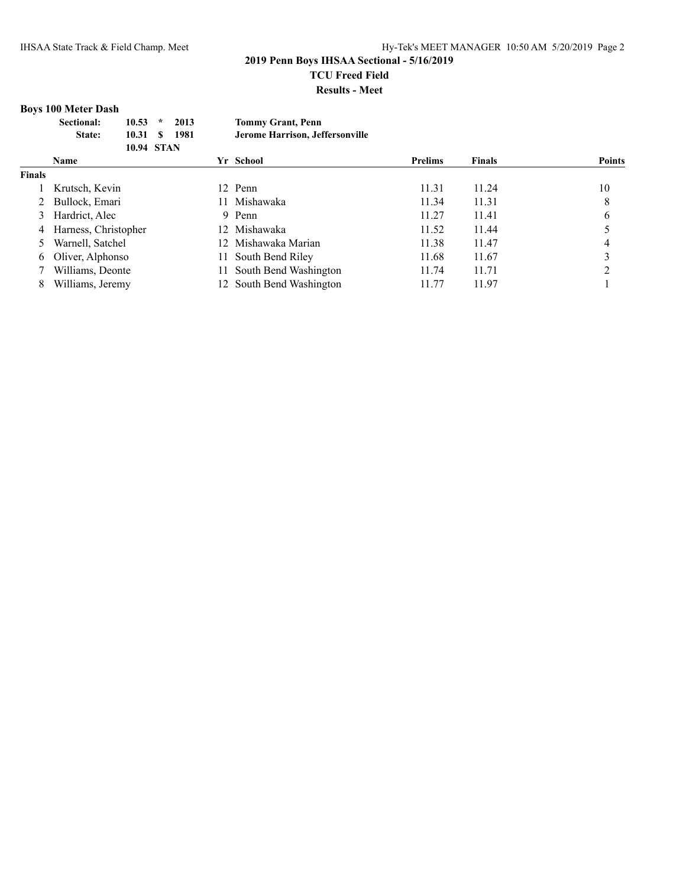#### **Results - Meet**

## **Boys 100 Meter Dash**

| <b>Sectional:</b> | $10.53$ *     | 2013 | <b>Tommy Grant, Penn</b>        |
|-------------------|---------------|------|---------------------------------|
| State:            | 10.31 \$ 1981 |      | Jerome Harrison, Jeffersonville |
|                   | 10.94 STAN    |      |                                 |

|        | <b>Name</b>          | Yr School                | <b>Prelims</b> | <b>Finals</b> | <b>Points</b> |
|--------|----------------------|--------------------------|----------------|---------------|---------------|
| Finals |                      |                          |                |               |               |
|        | Krutsch, Kevin       | 12 Penn                  | 11.31          | 11.24         | 10            |
|        | Bullock, Emari       | Mishawaka                | 11.34          | 11.31         | 8             |
|        | Hardrict, Alec       | 9 Penn                   | 11.27          | 11.41         | 6             |
| 4      | Harness, Christopher | 12 Mishawaka             | 11.52          | 11.44         |               |
|        | Warnell, Satchel     | 12 Mishawaka Marian      | 11.38          | 11.47         |               |
| 6      | Oliver, Alphonso     | 11 South Bend Riley      | 11.68          | 11.67         |               |
|        | Williams, Deonte     | 11 South Bend Washington | 11.74          | 11.71         |               |
| 8      | Williams, Jeremy     | 12 South Bend Washington | 11.77          | 11.97         |               |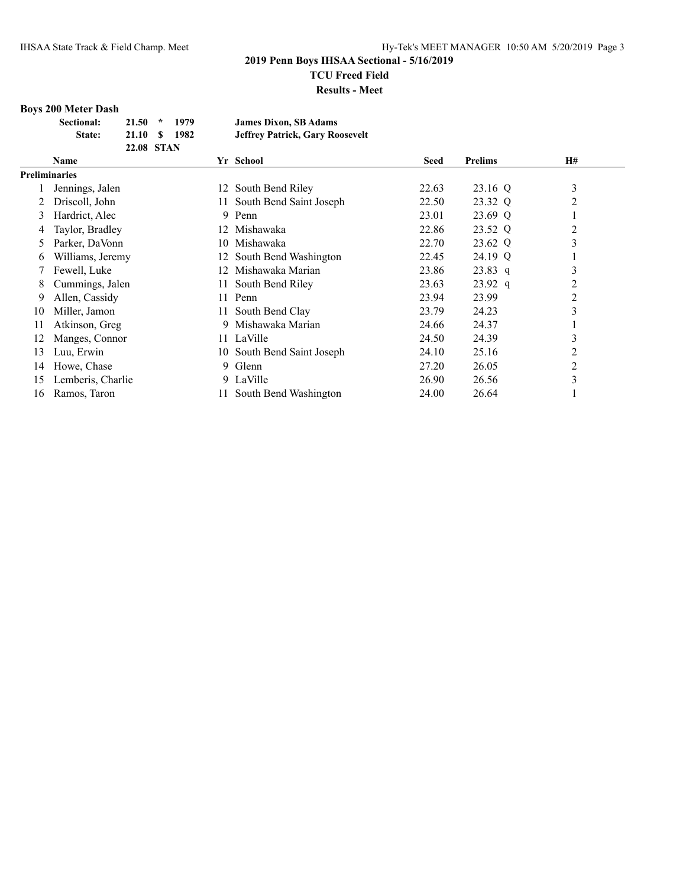**Results - Meet**

## **Boys 200 Meter Dash**

| Sectional: | $21.50$ * | 1979              | <b>James Dixon, SB Adams</b>           |
|------------|-----------|-------------------|----------------------------------------|
| State:     | 21.10 S   | 1982              | <b>Jeffrey Patrick, Gary Roosevelt</b> |
|            |           | <b>22.08 STAN</b> |                                        |

|                      | <b>Name</b>       |     | Yr School                | <b>Seed</b> | <b>Prelims</b> | H# |
|----------------------|-------------------|-----|--------------------------|-------------|----------------|----|
| <b>Preliminaries</b> |                   |     |                          |             |                |    |
|                      | Jennings, Jalen   | 12. | South Bend Riley         | 22.63       | 23.16 Q        | 3  |
|                      | Driscoll, John    | 11- | South Bend Saint Joseph  | 22.50       | 23.32 Q        | 2  |
| 3                    | Hardrict, Alec    | 9.  | Penn                     | 23.01       | 23.69 Q        |    |
| 4                    | Taylor, Bradley   | 12. | Mishawaka                | 22.86       | 23.52 Q        | 2  |
| 5                    | Parker, DaVonn    | 10- | Mishawaka                | 22.70       | 23.62 Q        | 3  |
| 6                    | Williams, Jeremy  |     | 12 South Bend Washington | 22.45       | 24.19 Q        |    |
|                      | Fewell, Luke      | 12. | Mishawaka Marian         | 23.86       | $23.83$ q      | 3  |
| 8                    | Cummings, Jalen   | 11  | South Bend Riley         | 23.63       | $23.92$ q      | 2  |
| 9                    | Allen, Cassidy    | 11- | Penn                     | 23.94       | 23.99          | 2  |
| 10                   | Miller, Jamon     | 11- | South Bend Clay          | 23.79       | 24.23          | 3  |
| 11                   | Atkinson, Greg    | 9.  | Mishawaka Marian         | 24.66       | 24.37          |    |
| 12                   | Manges, Connor    |     | 11 LaVille               | 24.50       | 24.39          | 3  |
| 13                   | Luu, Erwin        | 10- | South Bend Saint Joseph  | 24.10       | 25.16          | 2  |
| 14                   | Howe, Chase       | 9.  | Glenn                    | 27.20       | 26.05          | 2  |
| 15                   | Lemberis, Charlie |     | 9 LaVille                | 26.90       | 26.56          | 3  |
| 16                   | Ramos, Taron      |     | South Bend Washington    | 24.00       | 26.64          |    |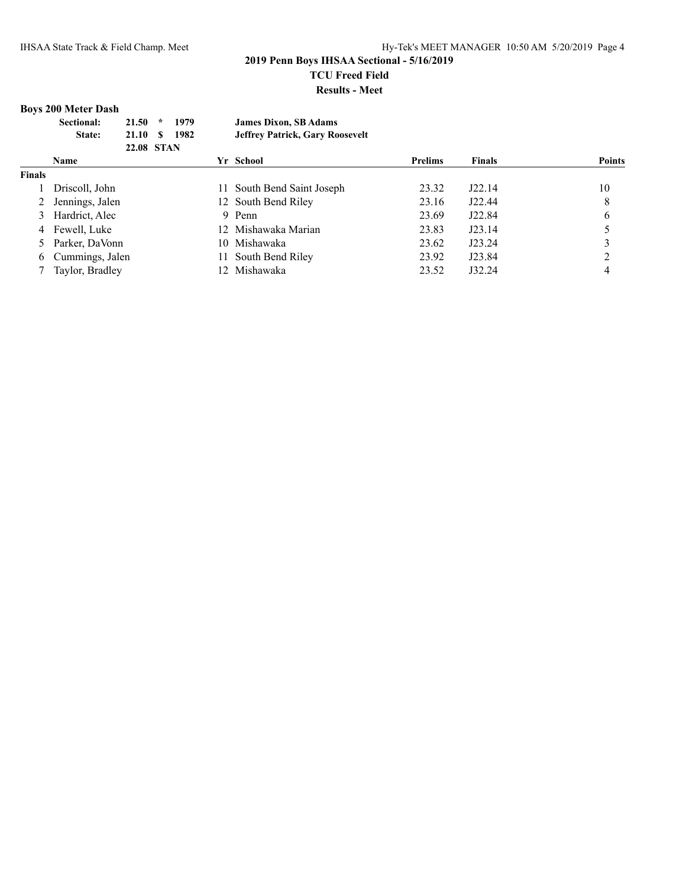## **Boys 200 Meter Dash**

| <b>Sectional:</b> | $21.50 *$ | 1979              | <b>James Dixon, SB Adams</b>           |
|-------------------|-----------|-------------------|----------------------------------------|
| <b>State:</b>     | 21.10 S   | 1982              | <b>Jeffrey Patrick, Gary Roosevelt</b> |
|                   |           | <b>22.08 STAN</b> |                                        |

|               | <b>Name</b>       |    | Yr School                  | <b>Prelims</b> | <b>Finals</b> | <b>Points</b> |
|---------------|-------------------|----|----------------------------|----------------|---------------|---------------|
| <b>Finals</b> |                   |    |                            |                |               |               |
|               | Driscoll, John    |    | 11 South Bend Saint Joseph | 23.32          | J22.14        | 10            |
|               | Jennings, Jalen   |    | 12 South Bend Riley        | 23.16          | J22.44        | 8             |
|               | Hardrict, Alec    |    | 9 Penn                     | 23.69          | J22.84        |               |
|               | 4 Fewell, Luke    |    | 12 Mishawaka Marian        | 23.83          | J23.14        |               |
|               | 5 Parker, DaVonn  |    | 10 Mishawaka               | 23.62          | J23.24        |               |
|               | 6 Cummings, Jalen | 11 | South Bend Riley           | 23.92          | J23.84        |               |
|               | Taylor, Bradley   |    | 12 Mishawaka               | 23.52          | J32.24        |               |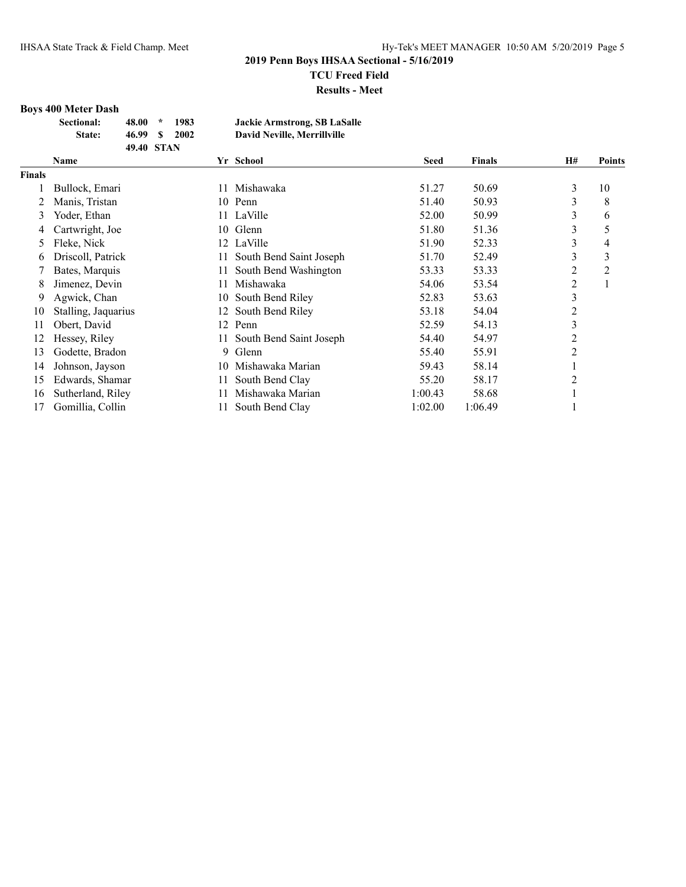## **Boys 400 Meter Dash**

| Sectional: | 48.00      | $\star$ | 1983 | <b>Jackie Armstrong, SB LaSalle</b> |
|------------|------------|---------|------|-------------------------------------|
| State:     | 46.99 S    |         | 2002 | <b>David Neville, Merrillville</b>  |
|            | 49.40 STAN |         |      |                                     |

|               | Yr School<br>Name   |     | <b>Seed</b>             | <b>Finals</b> | H#      | <b>Points</b>  |    |
|---------------|---------------------|-----|-------------------------|---------------|---------|----------------|----|
| <b>Finals</b> |                     |     |                         |               |         |                |    |
|               | Bullock, Emari      | 11  | Mishawaka               | 51.27         | 50.69   | 3              | 10 |
|               | Manis, Tristan      |     | 10 Penn                 | 51.40         | 50.93   | 3              | 8  |
| 3             | Yoder, Ethan        |     | 11 LaVille              | 52.00         | 50.99   | 3              | 6  |
| 4             | Cartwright, Joe     |     | 10 Glenn                | 51.80         | 51.36   | 3              | 5  |
| 5             | Fleke, Nick         |     | 12 LaVille              | 51.90         | 52.33   | 3              | 4  |
| 6             | Driscoll, Patrick   | 11  | South Bend Saint Joseph | 51.70         | 52.49   | 3              | 3  |
|               | Bates, Marquis      | 11. | South Bend Washington   | 53.33         | 53.33   | $\overline{c}$ | 2  |
| 8             | Jimenez, Devin      | 11. | Mishawaka               | 54.06         | 53.54   | $\overline{c}$ |    |
| 9             | Agwick, Chan        | 10- | South Bend Riley        | 52.83         | 53.63   | 3              |    |
| 10            | Stalling, Jaquarius |     | 12 South Bend Riley     | 53.18         | 54.04   | $\overline{c}$ |    |
| 11            | Obert, David        | 12  | Penn                    | 52.59         | 54.13   | 3              |    |
| 12            | Hessey, Riley       | 11  | South Bend Saint Joseph | 54.40         | 54.97   | 2              |    |
| 13            | Godette, Bradon     | 9.  | Glenn                   | 55.40         | 55.91   | $\overline{2}$ |    |
| 14            | Johnson, Jayson     | 10  | Mishawaka Marian        | 59.43         | 58.14   |                |    |
| 15            | Edwards, Shamar     | 11. | South Bend Clay         | 55.20         | 58.17   | $\overline{2}$ |    |
| 16            | Sutherland, Riley   |     | Mishawaka Marian        | 1:00.43       | 58.68   |                |    |
| 17            | Gomillia, Collin    | 11. | South Bend Clay         | 1:02.00       | 1:06.49 |                |    |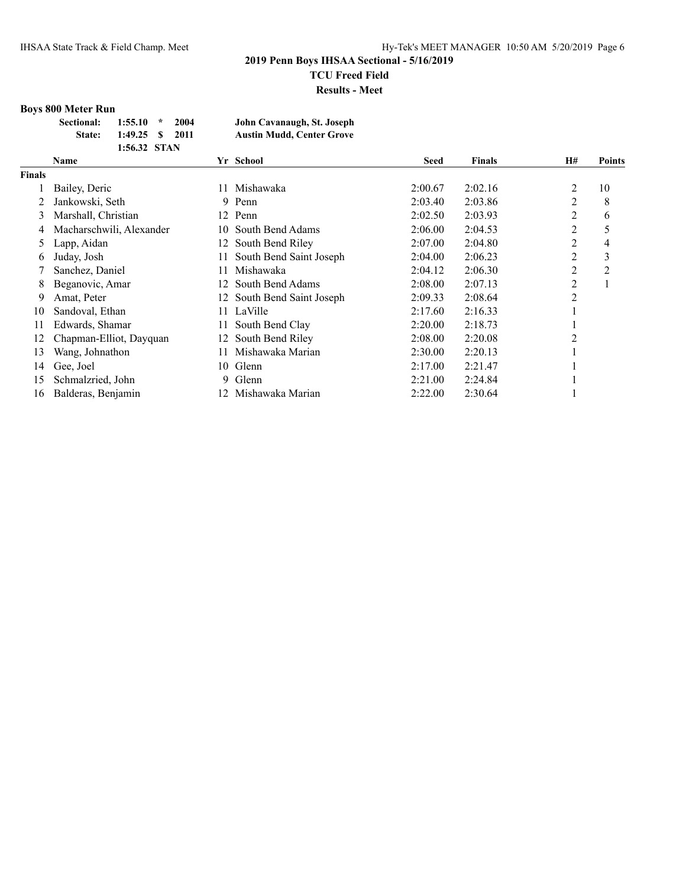## **Boys 800 Meter Run**

| Sectional: | $1:55.10$ *       | 2004 | John Cavanaugh, St. Joseph       |
|------------|-------------------|------|----------------------------------|
| State:     | $1:49.25$ \$ 2011 |      | <b>Austin Mudd, Center Grove</b> |
|            | 1:56.32 STAN      |      |                                  |

|               | <b>Name</b>              |     | Yr School               | Seed    | <b>Finals</b> | H#                            | <b>Points</b> |
|---------------|--------------------------|-----|-------------------------|---------|---------------|-------------------------------|---------------|
| <b>Finals</b> |                          |     |                         |         |               |                               |               |
|               | Bailey, Deric            | 11. | Mishawaka               | 2:00.67 | 2:02.16       | 2                             | 10            |
|               | Jankowski, Seth          | 9.  | Penn                    | 2:03.40 | 2:03.86       | 2                             | 8             |
| 3             | Marshall, Christian      |     | 12 Penn                 | 2:02.50 | 2:03.93       | 2                             | 6             |
| 4             | Macharschwili, Alexander | 10. | South Bend Adams        | 2:06.00 | 2:04.53       | $\overline{2}$                | 5             |
| 5             | Lapp, Aidan              | 12  | South Bend Riley        | 2:07.00 | 2:04.80       | 2                             | 4             |
| 6             | Juday, Josh              | 11. | South Bend Saint Joseph | 2:04.00 | 2:06.23       | 2                             | 3             |
|               | Sanchez, Daniel          | 11. | Mishawaka               | 2:04.12 | 2:06.30       | 2                             | 2             |
| 8             | Beganovic, Amar          | 12. | South Bend Adams        | 2:08.00 | 2:07.13       | 2                             |               |
| 9             | Amat, Peter              | 12. | South Bend Saint Joseph | 2:09.33 | 2:08.64       | $\overline{c}$                |               |
| 10            | Sandoval, Ethan          | 11. | LaVille                 | 2:17.60 | 2:16.33       | J.                            |               |
| 11            | Edwards, Shamar          | 11  | South Bend Clay         | 2:20.00 | 2:18.73       |                               |               |
| 12            | Chapman-Elliot, Dayquan  | 12  | South Bend Riley        | 2:08.00 | 2:20.08       | $\mathfrak{D}_{\mathfrak{p}}$ |               |
| 13            | Wang, Johnathon          | 11. | Mishawaka Marian        | 2:30.00 | 2:20.13       |                               |               |
| 14            | Gee, Joel                |     | 10 Glenn                | 2:17.00 | 2:21.47       |                               |               |
| 15            | Schmalzried, John        | 9.  | Glenn                   | 2:21.00 | 2:24.84       |                               |               |
| 16            | Balderas, Benjamin       | 12. | Mishawaka Marian        | 2:22.00 | 2:30.64       |                               |               |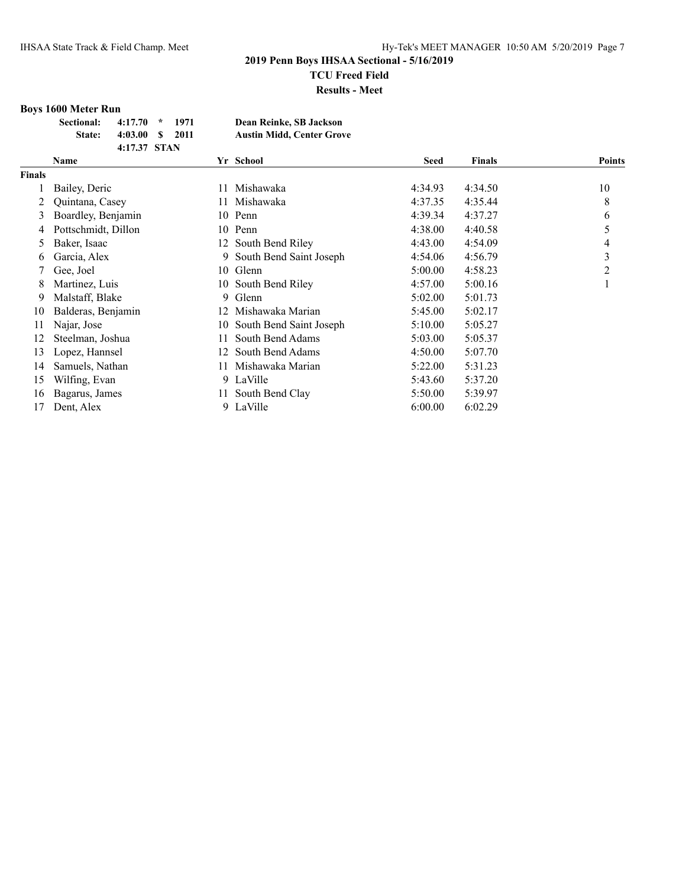## **Boys 1600 Meter Run**

| Sectional:    | $4:17.70$ * 1971 |  | Dean Reinke, SB Jackson          |
|---------------|------------------|--|----------------------------------|
| <b>State:</b> | $4:03.00 S$ 2011 |  | <b>Austin Midd, Center Grove</b> |
|               | 4:17.37 STAN     |  |                                  |

|        | Name                |     | Yr School               | <b>Seed</b> | <b>Finals</b> | <b>Points</b> |
|--------|---------------------|-----|-------------------------|-------------|---------------|---------------|
| Finals |                     |     |                         |             |               |               |
|        | Bailey, Deric       | 11  | Mishawaka               | 4:34.93     | 4:34.50       | 10            |
|        | Quintana, Casey     |     | Mishawaka               | 4:37.35     | 4:35.44       | 8             |
| 3      | Boardley, Benjamin  |     | 10 Penn                 | 4:39.34     | 4:37.27       | 6             |
| 4      | Pottschmidt, Dillon |     | 10 Penn                 | 4:38.00     | 4:40.58       | 5             |
| 5      | Baker, Isaac        |     | 12 South Bend Riley     | 4:43.00     | 4:54.09       | 4             |
| 6      | Garcia, Alex        | 9.  | South Bend Saint Joseph | 4:54.06     | 4:56.79       | 3             |
|        | Gee, Joel           |     | 10 Glenn                | 5:00.00     | 4:58.23       | 2             |
| 8      | Martinez, Luis      |     | 10 South Bend Riley     | 4:57.00     | 5:00.16       |               |
| 9      | Malstaff, Blake     | 9.  | Glenn                   | 5:02.00     | 5:01.73       |               |
| 10     | Balderas, Benjamin  | 12  | Mishawaka Marian        | 5:45.00     | 5:02.17       |               |
| 11     | Najar, Jose         | 10- | South Bend Saint Joseph | 5:10.00     | 5:05.27       |               |
| 12     | Steelman, Joshua    | 11  | South Bend Adams        | 5:03.00     | 5:05.37       |               |
| 13     | Lopez, Hannsel      | 12  | South Bend Adams        | 4:50.00     | 5:07.70       |               |
| 14     | Samuels, Nathan     | 11  | Mishawaka Marian        | 5:22.00     | 5:31.23       |               |
| 15     | Wilfing, Evan       |     | 9 LaVille               | 5:43.60     | 5:37.20       |               |
| 16     | Bagarus, James      |     | South Bend Clay         | 5:50.00     | 5:39.97       |               |
| 17     | Dent, Alex          |     | 9 LaVille               | 6:00.00     | 6:02.29       |               |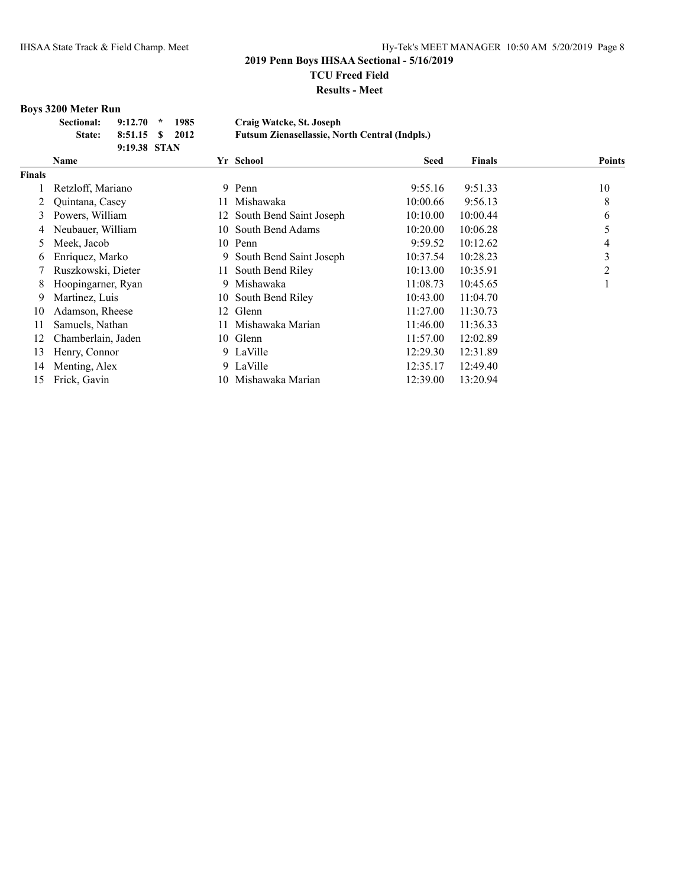**Results - Meet**

### **Boys 3200 Meter Run**

| <b>Sectional:</b> | $9:12.70$ *     | 1985 | Craig Watcke, St. Joseph                              |
|-------------------|-----------------|------|-------------------------------------------------------|
| <b>State:</b>     | 8:51.15 \$ 2012 |      | <b>Futsum Zienasellassie, North Central (Indpls.)</b> |
|                   | 9:19.38 STAN    |      |                                                       |

|               | <b>Name</b>        |     | Yr School                  | <b>Seed</b> | <b>Finals</b> | <b>Points</b> |
|---------------|--------------------|-----|----------------------------|-------------|---------------|---------------|
| <b>Finals</b> |                    |     |                            |             |               |               |
|               | Retzloff, Mariano  |     | 9 Penn                     | 9:55.16     | 9:51.33       | 10            |
|               | Quintana, Casey    | 11. | Mishawaka                  | 10:00.66    | 9:56.13       | 8             |
| 3             | Powers, William    |     | 12 South Bend Saint Joseph | 10:10.00    | 10:00.44      | 6             |
| 4             | Neubauer, William  | 10- | South Bend Adams           | 10:20.00    | 10:06.28      |               |
| 5.            | Meek, Jacob        |     | 10 Penn                    | 9:59.52     | 10:12.62      | 4             |
| 6             | Enriquez, Marko    | 9.  | South Bend Saint Joseph    | 10:37.54    | 10:28.23      | 3             |
|               | Ruszkowski, Dieter | 11  | South Bend Riley           | 10:13.00    | 10:35.91      | 2             |
| 8             | Hoopingarner, Ryan | 9   | Mishawaka                  | 11:08.73    | 10:45.65      |               |
| 9             | Martinez, Luis     | 10  | South Bend Riley           | 10:43.00    | 11:04.70      |               |
| 10            | Adamson, Rheese    | 12. | Glenn                      | 11:27.00    | 11:30.73      |               |
| 11            | Samuels, Nathan    | 11  | Mishawaka Marian           | 11:46.00    | 11:36.33      |               |
| 12            | Chamberlain, Jaden |     | 10 Glenn                   | 11:57.00    | 12:02.89      |               |
| 13            | Henry, Connor      |     | 9 LaVille                  | 12:29.30    | 12:31.89      |               |
| 14            | Menting, Alex      |     | 9 LaVille                  | 12:35.17    | 12:49.40      |               |
| 15            | Frick, Gavin       |     | 10 Mishawaka Marian        | 12:39.00    | 13:20.94      |               |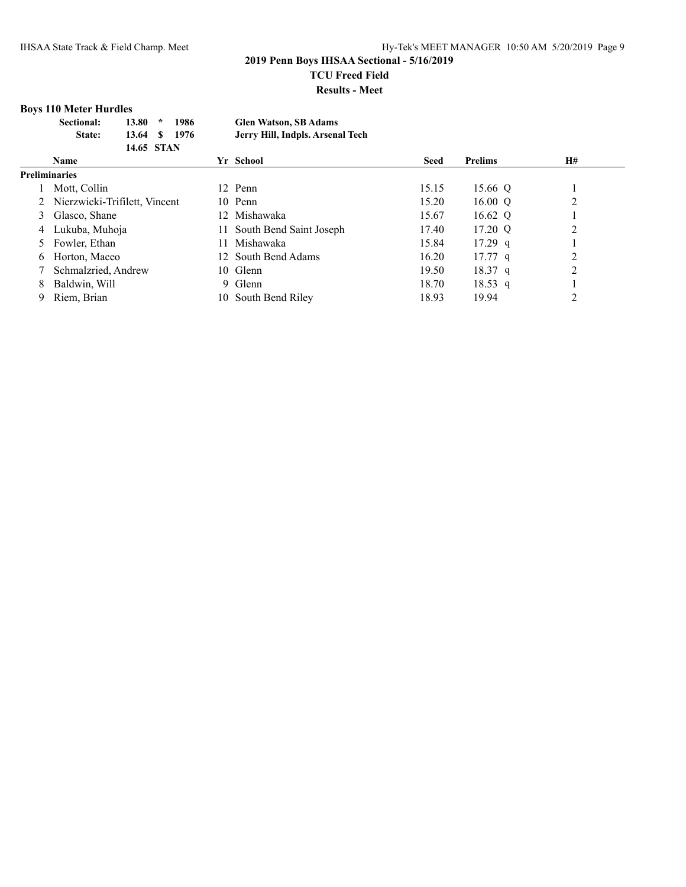# **Boys 110 Meter Hurdles**

| Sectional:    | $13.80*$ | 1986          | <b>Glen Watson, SB Adams</b>     |
|---------------|----------|---------------|----------------------------------|
| <b>State:</b> |          | 13.64 \$ 1976 | Jerry Hill, Indpls. Arsenal Tech |
|               |          | 14.65 STAN    |                                  |

|   | <b>Name</b>                     | Yr School                  | <b>Seed</b> | Prelims   | H# |
|---|---------------------------------|----------------------------|-------------|-----------|----|
|   | <b>Preliminaries</b>            |                            |             |           |    |
|   | Mott, Collin                    | 12 Penn                    | 15.15       | 15.66 Q   |    |
|   | 2 Nierzwicki-Trifilett, Vincent | 10 Penn                    | 15.20       | 16.00 $Q$ |    |
|   | 3 Glasco, Shane                 | Mishawaka<br>12.           | 15.67       | 16.62 Q   |    |
| 4 | Lukuba, Muhoja                  | 11 South Bend Saint Joseph | 17.40       | 17.20 Q   | 2  |
|   | 5 Fowler, Ethan                 | Mishawaka<br>11.           | 15.84       | $17.29$ q |    |
|   | 6 Horton, Maceo                 | 12 South Bend Adams        | 16.20       | $17.77$ q | 2  |
|   | Schmalzried, Andrew             | 10 Glenn                   | 19.50       | $18.37$ q |    |
| 8 | Baldwin, Will                   | 9 Glenn                    | 18.70       | 18.53 q   |    |
| 9 | Riem, Brian                     | South Bend Riley<br>10.    | 18.93       | 19.94     |    |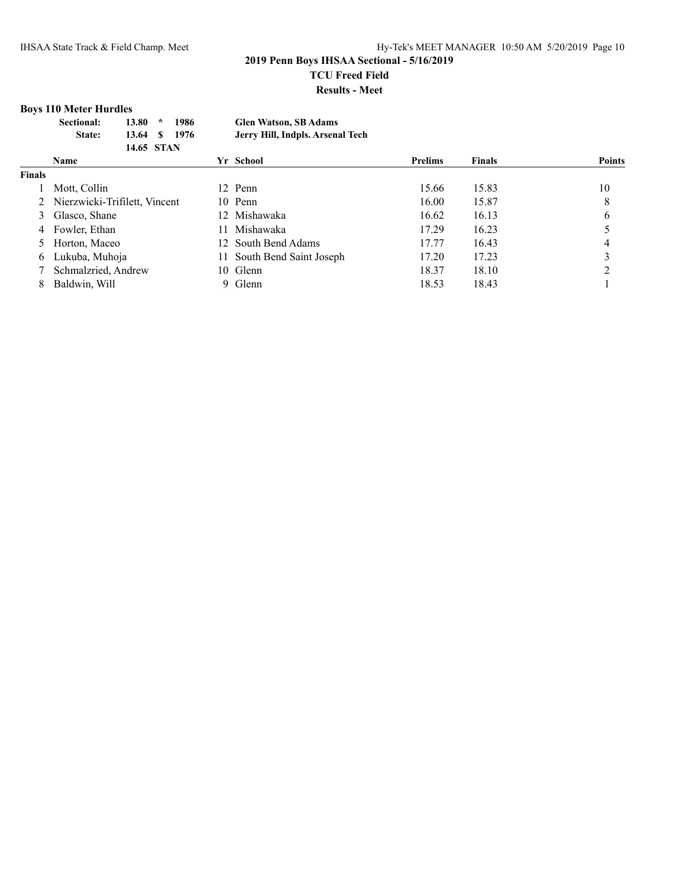# **Boys 110 Meter Hurdles**

| Sectional: | 13.80   | $\mathbf{r}$<br>1986 | <b>Glen Watson, SB Adams</b>     |
|------------|---------|----------------------|----------------------------------|
| State:     | 13.64 S | -1976                | Jerry Hill, Indpls. Arsenal Tech |
|            |         | 14.65 STAN           |                                  |

|               | <b>Name</b>                     | Yr School                  | <b>Prelims</b> | <b>Finals</b> | <b>Points</b> |
|---------------|---------------------------------|----------------------------|----------------|---------------|---------------|
| <b>Finals</b> |                                 |                            |                |               |               |
|               | Mott, Collin                    | 12 Penn                    | 15.66          | 15.83         | 10            |
|               | 2 Nierzwicki-Trifilett, Vincent | 10 Penn                    | 16.00          | 15.87         | 8             |
| 3             | Glasco, Shane                   | 12 Mishawaka               | 16.62          | 16.13         | 6             |
| 4             | Fowler, Ethan                   | Mishawaka                  | 17.29          | 16.23         |               |
|               | Horton, Maceo                   | 12 South Bend Adams        | 17.77          | 16.43         |               |
| 6             | Lukuba, Muhoja                  | 11 South Bend Saint Joseph | 17.20          | 17.23         | 3             |
|               | Schmalzried, Andrew             | 10 Glenn                   | 18.37          | 18.10         | າ             |
| 8             | Baldwin, Will                   | 9 Glenn                    | 18.53          | 18.43         |               |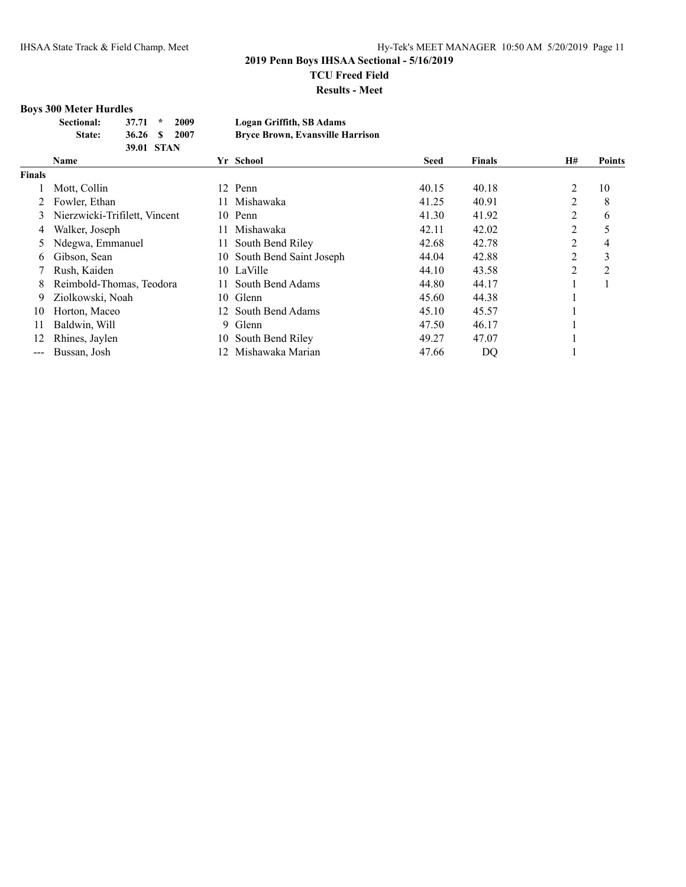## **Boys 300 Meter Hurdles**

| Sectional:    | $37.71 *$  | 2009 | Logan Griffith, SB Adams                |
|---------------|------------|------|-----------------------------------------|
| <b>State:</b> | 36.26 S    | 2007 | <b>Bryce Brown, Evansville Harrison</b> |
|               | 39.01 STAN |      |                                         |

|               | Name                          |    | Yr School                  | <b>Seed</b> | <b>Finals</b> | H#             | <b>Points</b>  |
|---------------|-------------------------------|----|----------------------------|-------------|---------------|----------------|----------------|
| Finals        |                               |    |                            |             |               |                |                |
|               | Mott, Collin                  |    | 12 Penn                    | 40.15       | 40.18         | 2              | 10             |
|               | Fowler, Ethan                 |    | Mishawaka                  | 41.25       | 40.91         | 2              | 8              |
|               | Nierzwicki-Trifilett, Vincent | 10 | Penn                       | 41.30       | 41.92         | 2              | 6              |
| 4             | Walker, Joseph                |    | Mishawaka                  | 42.11       | 42.02         | 2              |                |
|               | Ndegwa, Emmanuel              |    | South Bend Riley           | 42.68       | 42.78         | 2              | 4              |
| 6             | Gibson, Sean                  |    | 10 South Bend Saint Joseph | 44.04       | 42.88         | 2              | 3              |
|               | Rush, Kaiden                  |    | 10 LaVille                 | 44.10       | 43.58         | $\overline{2}$ | $\overline{2}$ |
| 8             | Reimbold-Thomas, Teodora      |    | South Bend Adams           | 44.80       | 44.17         |                |                |
| 9             | Ziolkowski, Noah              | 10 | Glenn                      | 45.60       | 44.38         |                |                |
| 10            | Horton, Maceo                 |    | 12 South Bend Adams        | 45.10       | 45.57         |                |                |
| 11            | Baldwin, Will                 | 9. | Glenn                      | 47.50       | 46.17         |                |                |
| 12            | Rhines, Jaylen                | 10 | South Bend Riley           | 49.27       | 47.07         |                |                |
| $\frac{1}{2}$ | Bussan, Josh                  |    | Mishawaka Marian           | 47.66       | DQ            |                |                |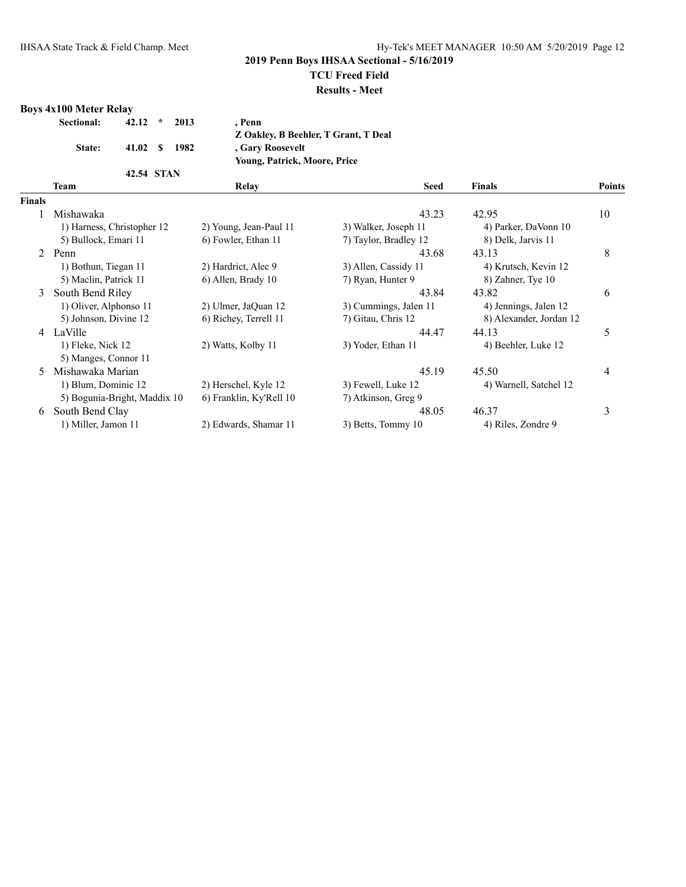### **2019 Penn Boys IHSAA Sectional - 5/16/2019**

# **TCU Freed Field**

#### **Results - Meet**

## **Boys 4x100 Meter Relay**

| Sectional: | $42.12$ *  | 2013 | . Penn                               |
|------------|------------|------|--------------------------------------|
|            |            |      | Z Oakley, B Beehler, T Grant, T Deal |
| State:     | 41.02 S    | 1982 | , Gary Roosevelt                     |
|            |            |      | <b>Young, Patrick, Moore, Price</b>  |
|            | 42.54 STAN |      |                                      |
| Team       |            |      | Relay                                |

|               | Team                         | Relay                   | <b>Seed</b>           | <b>Finals</b>           | <b>Points</b> |
|---------------|------------------------------|-------------------------|-----------------------|-------------------------|---------------|
| <b>Finals</b> |                              |                         |                       |                         |               |
|               | Mishawaka                    |                         | 43.23                 | 42.95                   | 10            |
|               | 1) Harness, Christopher 12   | 2) Young, Jean-Paul 11  | 3) Walker, Joseph 11  | 4) Parker, DaVonn 10    |               |
|               | 5) Bullock, Emari 11         | 6) Fowler, Ethan 11     | 7) Taylor, Bradley 12 | 8) Delk, Jarvis 11      |               |
| $2^{\circ}$   | Penn                         |                         | 43.68                 | 43.13                   | 8             |
|               | 1) Bothun, Tiegan 11         | 2) Hardrict, Alec 9     | 3) Allen, Cassidy 11  | 4) Krutsch, Kevin 12    |               |
|               | 5) Maclin, Patrick 11        | 6) Allen, Brady 10      | 7) Ryan, Hunter 9     | 8) Zahner, Tye 10       |               |
| 3             | South Bend Riley             |                         | 43.84                 | 43.82                   | 6             |
|               | 1) Oliver, Alphonso 11       | 2) Ulmer, JaQuan 12     | 3) Cummings, Jalen 11 | 4) Jennings, Jalen 12   |               |
|               | 5) Johnson, Divine 12        | 6) Richey, Terrell 11   | 7) Gitau, Chris 12    | 8) Alexander, Jordan 12 |               |
|               | 4 LaVille                    |                         | 44.47                 | 44.13                   | 5             |
|               | 1) Fleke, Nick 12            | 2) Watts, Kolby 11      | 3) Yoder, Ethan 11    | 4) Beehler, Luke 12     |               |
|               | 5) Manges, Connor 11         |                         |                       |                         |               |
|               | Mishawaka Marian             |                         | 45.19                 | 45.50                   | 4             |
|               | 1) Blum, Dominic 12          | 2) Herschel, Kyle 12    | 3) Fewell, Luke 12    | 4) Warnell, Satchel 12  |               |
|               | 5) Bogunia-Bright, Maddix 10 | 6) Franklin, Ky'Rell 10 | 7) Atkinson, Greg 9   |                         |               |
| 6             | South Bend Clay              |                         | 48.05                 | 46.37                   | 3             |
|               | 1) Miller, Jamon 11          | 2) Edwards, Shamar 11   | 3) Betts, Tommy 10    | 4) Riles, Zondre 9      |               |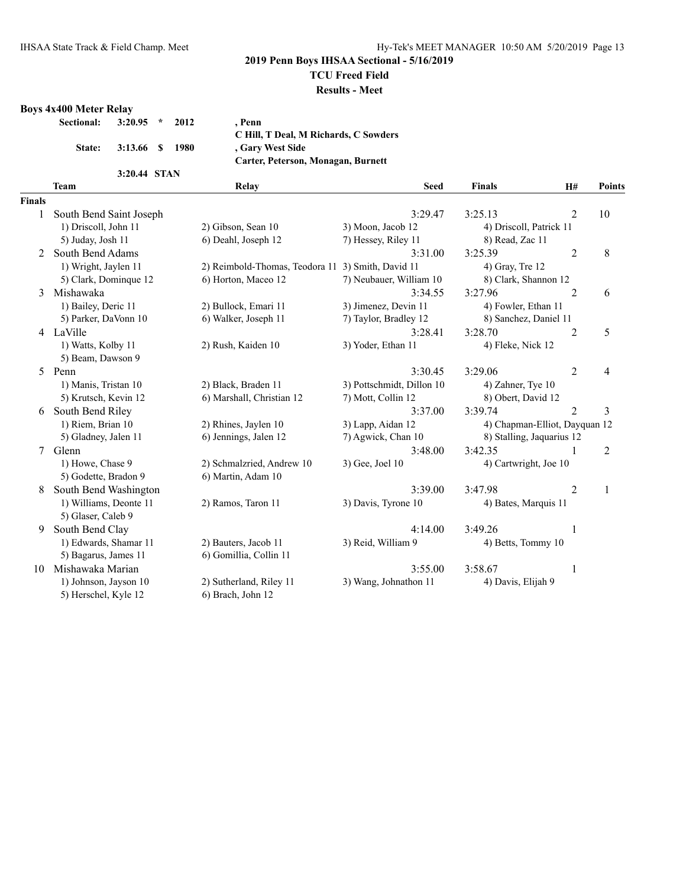## **2019 Penn Boys IHSAA Sectional - 5/16/2019**

# **TCU Freed Field**

#### **Results - Meet**

# **Boys 4x400 Meter Relay**

|  | . Penn                                              |
|--|-----------------------------------------------------|
|  | C Hill, T Deal, M Richards, C Sowders               |
|  | , Gary West Side                                    |
|  | Carter, Peterson, Monagan, Burnett                  |
|  |                                                     |
|  | $3:20.95$ * 2012<br>3:13.66 \$ 1980<br>3:20.44 STAN |

|               | $3.20.77$ $31A1$        |                                |                           |                           |                               |               |
|---------------|-------------------------|--------------------------------|---------------------------|---------------------------|-------------------------------|---------------|
|               | <b>Team</b>             | Relay                          | <b>Seed</b>               | <b>Finals</b>             | <b>H#</b>                     | <b>Points</b> |
| <b>Finals</b> |                         |                                |                           |                           |                               |               |
|               | South Bend Saint Joseph |                                | 3:29.47                   | 3:25.13                   | $\overline{2}$                | 10            |
|               | 1) Driscoll, John 11    | 2) Gibson, Sean 10             | 3) Moon, Jacob 12         | 4) Driscoll, Patrick 11   |                               |               |
|               | 5) Juday, Josh 11       | 6) Deahl, Joseph 12            | 7) Hessey, Riley 11       | 8) Read, Zac 11           |                               |               |
| $\mathcal{L}$ | South Bend Adams        |                                | 3:31.00                   | 3:25.39                   | $\overline{2}$                | 8             |
|               | 1) Wright, Jaylen 11    | 2) Reimbold-Thomas, Teodora 11 | 3) Smith, David 11        | 4) Gray, Tre 12           |                               |               |
|               | 5) Clark, Dominque 12   | 6) Horton, Maceo 12            | 7) Neubauer, William 10   | 8) Clark, Shannon 12      |                               |               |
| 3             | Mishawaka               |                                | 3:34.55                   | 3:27.96                   | $\overline{2}$                | 6             |
|               | 1) Bailey, Deric 11     | 2) Bullock, Emari 11           | 3) Jimenez, Devin 11      | 4) Fowler, Ethan 11       |                               |               |
|               | 5) Parker, DaVonn 10    | 6) Walker, Joseph 11           | 7) Taylor, Bradley 12     | 8) Sanchez, Daniel 11     |                               |               |
|               | 4 LaVille               |                                | 3:28.41                   | 3:28.70                   | 2                             | 5             |
|               | 1) Watts, Kolby 11      | 2) Rush, Kaiden 10             | 3) Yoder, Ethan 11        | 4) Fleke, Nick 12         |                               |               |
|               | 5) Beam, Dawson 9       |                                |                           |                           |                               |               |
|               | 5 Penn                  |                                | 3:30.45                   | 3:29.06                   | $\overline{2}$                | 4             |
|               | 1) Manis, Tristan 10    | 2) Black, Braden 11            | 3) Pottschmidt, Dillon 10 | 4) Zahner, Tye 10         |                               |               |
|               | 5) Krutsch, Kevin 12    | 6) Marshall, Christian 12      | 7) Mott, Collin 12        | 8) Obert, David 12        |                               |               |
| 6             | South Bend Riley        |                                | 3:37.00                   | 3:39.74                   | $\overline{2}$                | 3             |
|               | 1) Riem, Brian 10       | 2) Rhines, Jaylen 10           | 3) Lapp, Aidan 12         |                           | 4) Chapman-Elliot, Dayquan 12 |               |
|               | 5) Gladney, Jalen 11    | 6) Jennings, Jalen 12          | 7) Agwick, Chan 10        | 8) Stalling, Jaquarius 12 |                               |               |
| $\tau$        | Glenn                   |                                | 3:48.00                   | 3:42.35                   | 1                             | 2             |
|               | 1) Howe, Chase 9        | 2) Schmalzried, Andrew 10      | 3) Gee, Joel 10           | 4) Cartwright, Joe 10     |                               |               |
|               | 5) Godette, Bradon 9    | 6) Martin, Adam 10             |                           |                           |                               |               |
| 8             | South Bend Washington   |                                | 3:39.00                   | 3:47.98                   | $\overline{2}$                | 1             |
|               | 1) Williams, Deonte 11  | 2) Ramos, Taron 11             | 3) Davis, Tyrone 10       | 4) Bates, Marquis 11      |                               |               |
|               | 5) Glaser, Caleb 9      |                                |                           |                           |                               |               |
| 9             | South Bend Clay         |                                | 4:14.00                   | 3:49.26                   | 1                             |               |
|               | 1) Edwards, Shamar 11   | 2) Bauters, Jacob 11           | 3) Reid, William 9        | 4) Betts, Tommy 10        |                               |               |
|               | 5) Bagarus, James 11    | 6) Gomillia, Collin 11         |                           |                           |                               |               |
| 10            | Mishawaka Marian        |                                | 3:55.00                   | 3:58.67                   | 1                             |               |
|               | 1) Johnson, Jayson 10   | 2) Sutherland, Riley 11        | 3) Wang, Johnathon 11     | 4) Davis, Elijah 9        |                               |               |
|               | 5) Herschel, Kyle 12    | 6) Brach, John 12              |                           |                           |                               |               |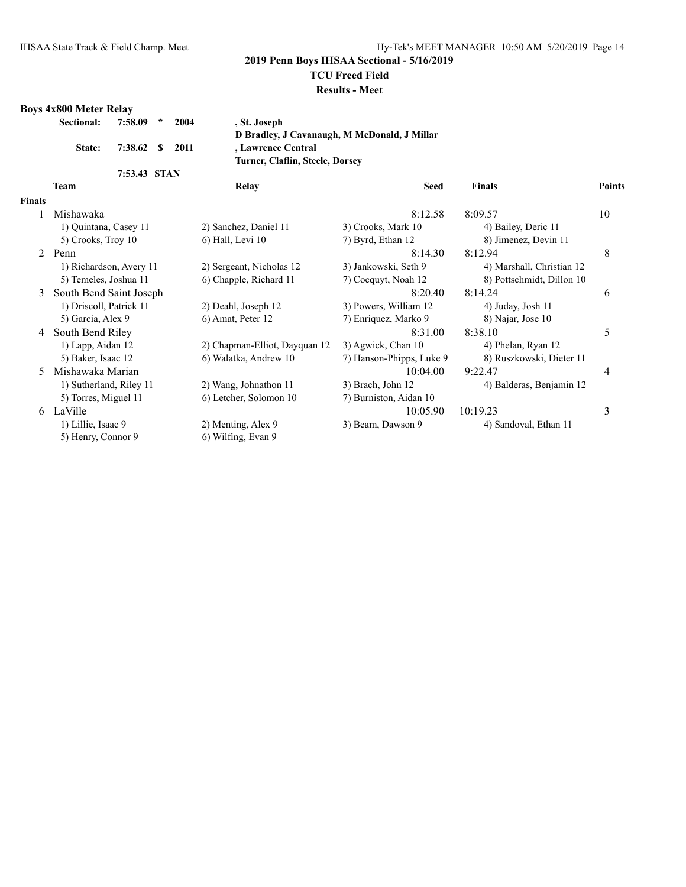### **2019 Penn Boys IHSAA Sectional - 5/16/2019**

#### **TCU Freed Field**

#### **Results - Meet**

#### **Boys 4x800 Meter Relay**

| Sectional: | 7:58.09         | $\sim$ | 2004 | , St. Joseph                                 |
|------------|-----------------|--------|------|----------------------------------------------|
|            |                 |        |      | D Bradley, J Cavanaugh, M McDonald, J Millar |
| State:     | 7:38.62 \$ 2011 |        |      | , Lawrence Central                           |
|            |                 |        |      | Turner, Claflin, Steele, Dorsey              |
|            | 7:53.43 STAN    |        |      |                                              |

|               | Team                    | Relay                         | <b>Seed</b>              | <b>Finals</b>             | Points         |
|---------------|-------------------------|-------------------------------|--------------------------|---------------------------|----------------|
| <b>Finals</b> |                         |                               |                          |                           |                |
|               | Mishawaka               |                               | 8:12.58                  | 8:09.57                   | 10             |
|               | 1) Quintana, Casey 11   | 2) Sanchez, Daniel 11         | 3) Crooks, Mark 10       | 4) Bailey, Deric 11       |                |
|               | 5) Crooks, Troy 10      | 6) Hall, Levi 10              | 7) Byrd, Ethan 12        | 8) Jimenez, Devin 11      |                |
| $2^{\circ}$   | Penn                    |                               | 8:14.30                  | 8:12.94                   | 8              |
|               | 1) Richardson, Avery 11 | 2) Sergeant, Nicholas 12      | 3) Jankowski, Seth 9     | 4) Marshall, Christian 12 |                |
|               | 5) Temeles, Joshua 11   | 6) Chapple, Richard 11        | 7) Cocquyt, Noah 12      | 8) Pottschmidt, Dillon 10 |                |
| 3             | South Bend Saint Joseph |                               | 8:20.40                  | 8:14.24                   | 6              |
|               | 1) Driscoll, Patrick 11 | 2) Deahl, Joseph 12           | 3) Powers, William 12    | 4) Juday, Josh 11         |                |
|               | 5) Garcia, Alex 9       | 6) Amat, Peter 12             | 7) Enriquez, Marko 9     | 8) Najar, Jose 10         |                |
| 4             | South Bend Riley        |                               | 8:31.00                  | 8:38.10                   | 5              |
|               | 1) Lapp, Aidan 12       | 2) Chapman-Elliot, Dayquan 12 | 3) Agwick, Chan 10       | 4) Phelan, Ryan 12        |                |
|               | 5) Baker, Isaac 12      | 6) Walatka, Andrew 10         | 7) Hanson-Phipps, Luke 9 | 8) Ruszkowski, Dieter 11  |                |
| 5.            | Mishawaka Marian        |                               | 10:04.00                 | 9:22.47                   | $\overline{4}$ |
|               | 1) Sutherland, Riley 11 | 2) Wang, Johnathon 11         | 3) Brach, John 12        | 4) Balderas, Benjamin 12  |                |
|               | 5) Torres, Miguel 11    | 6) Letcher, Solomon 10        | 7) Burniston, Aidan 10   |                           |                |
|               | 6 LaVille               |                               | 10:05.90                 | 10:19.23                  | 3              |
|               | 1) Lillie, Isaac 9      | 2) Menting, Alex 9            | 3) Beam, Dawson 9        | 4) Sandoval, Ethan 11     |                |
|               | 5) Henry, Connor 9      | 6) Wilfing, Evan 9            |                          |                           |                |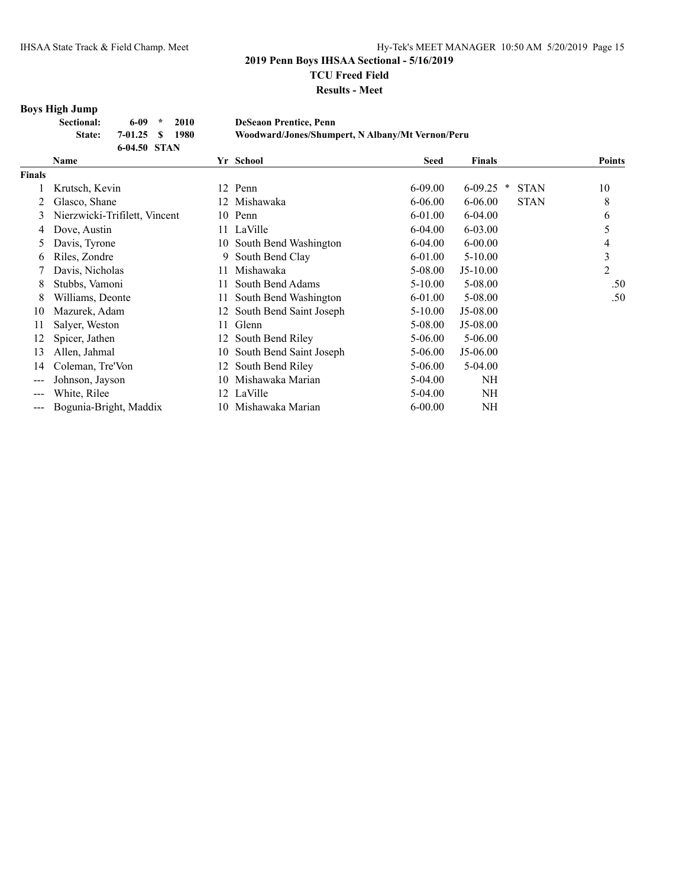**Results - Meet**

# **Boys High Jump**

| Sectional: | 6-09 *       | 2010 | <b>DeSeaon Prentice, Penn</b>                    |
|------------|--------------|------|--------------------------------------------------|
| State:     | $7-01.25$ \$ | 1980 | Woodward/Jones/Shumpert, N Albany/Mt Vernon/Peru |
|            | 6-04.50 STAN |      |                                                  |

|        | <b>Name</b>                   |     | Yr School                  | <b>Seed</b> | <b>Finals</b> |             | <b>Points</b> |
|--------|-------------------------------|-----|----------------------------|-------------|---------------|-------------|---------------|
| Finals |                               |     |                            |             |               |             |               |
|        | Krutsch, Kevin                | 12  | Penn                       | $6 - 09.00$ | $6-09.25$ *   | <b>STAN</b> | 10            |
| 2      | Glasco, Shane                 | 12  | Mishawaka                  | $6 - 06.00$ | $6 - 06.00$   | <b>STAN</b> | 8             |
| 3      | Nierzwicki-Trifilett, Vincent |     | 10 Penn                    | 6-01.00     | $6 - 04.00$   |             | 6             |
| 4      | Dove, Austin                  |     | 11 LaVille                 | $6-04.00$   | $6 - 03.00$   |             |               |
| 5      | Davis, Tyrone                 | 10- | South Bend Washington      | $6 - 04.00$ | $6 - 00.00$   |             | 4             |
| 6      | Riles, Zondre                 | 9.  | South Bend Clay            | $6 - 01.00$ | $5 - 10.00$   |             | 3             |
|        | Davis, Nicholas               | 11  | Mishawaka                  | 5-08.00     | $J5-10.00$    |             | 2             |
| 8      | Stubbs, Vamoni                |     | South Bend Adams           | $5-10.00$   | 5-08.00       |             | .50           |
| 8      | Williams, Deonte              |     | South Bend Washington      | $6 - 01.00$ | 5-08.00       |             | .50           |
| 10     | Mazurek, Adam                 |     | 12 South Bend Saint Joseph | 5-10.00     | J5-08.00      |             |               |
| 11     | Salyer, Weston                | 11  | Glenn                      | 5-08.00     | J5-08.00      |             |               |
| 12     | Spicer, Jathen                |     | 12 South Bend Riley        | 5-06.00     | 5-06.00       |             |               |
| 13     | Allen, Jahmal                 | 10  | South Bend Saint Joseph    | 5-06.00     | $J5-06.00$    |             |               |
| 14     | Coleman, Tre'Von              | 12  | South Bend Riley           | $5 - 06.00$ | 5-04.00       |             |               |
| $---$  | Johnson, Jayson               | 10  | Mishawaka Marian           | $5-04.00$   | NH            |             |               |
|        | White, Rilee                  |     | 12 LaVille                 | 5-04.00     | NH            |             |               |
|        | Bogunia-Bright, Maddix        |     | 10 Mishawaka Marian        | $6 - 00.00$ | NH            |             |               |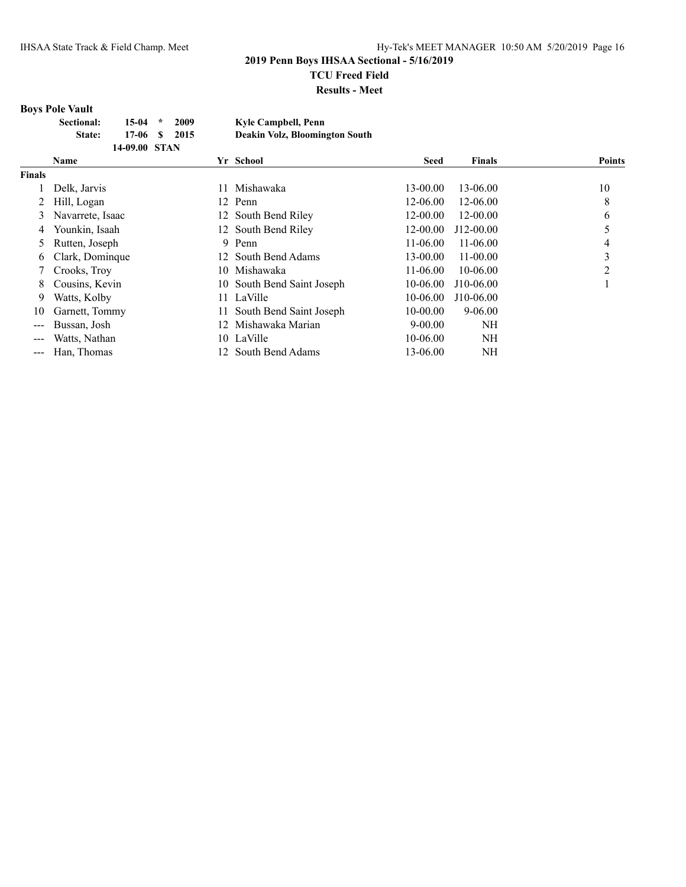**Results - Meet**

## **Boys Pole Vault**

| <b>Sectional:</b> | 15-04         | $\star$ | 2009 | Kyle Campbell, Penn            |
|-------------------|---------------|---------|------|--------------------------------|
| State:            | 17-06 S       |         | 2015 | Deakin Volz, Bloomington South |
|                   | 14-09.00 STAN |         |      |                                |

|                   | <b>Name</b>      |     | Yr School                  | <b>Seed</b> | <b>Finals</b> | <b>Points</b> |
|-------------------|------------------|-----|----------------------------|-------------|---------------|---------------|
| <b>Finals</b>     |                  |     |                            |             |               |               |
|                   | Delk, Jarvis     |     | Mishawaka                  | 13-00.00    | 13-06.00      | 10            |
|                   | Hill, Logan      |     | 12 Penn                    | 12-06.00    | 12-06.00      | 8             |
| 3                 | Navarrete, Isaac |     | 12 South Bend Riley        | 12-00.00    | 12-00.00      | 6             |
| 4                 | Younkin, Isaah   |     | 12 South Bend Riley        | 12-00.00    | $J12-00.00$   |               |
| 5                 | Rutten, Joseph   | 9   | Penn                       | 11-06.00    | 11-06.00      |               |
| 6                 | Clark, Dominque  |     | 12 South Bend Adams        | 13-00.00    | $11 - 00.00$  | 3             |
|                   | Crooks, Troy     | 10  | Mishawaka                  | $11-06.00$  | 10-06.00      | າ             |
| 8                 | Cousins, Kevin   |     | 10 South Bend Saint Joseph | 10-06.00    | $J10-06.00$   |               |
| 9                 | Watts, Kolby     |     | LaVille                    | 10-06.00    | J10-06.00     |               |
| 10                | Garnett, Tommy   |     | South Bend Saint Joseph    | 10-00.00    | $9 - 06.00$   |               |
|                   | Bussan, Josh     | 12. | Mishawaka Marian           | $9-00.00$   | NΗ            |               |
| $---$             | Watts, Nathan    |     | 10 LaVille                 | 10-06.00    | NH            |               |
| $\qquad \qquad -$ | Han, Thomas      |     | South Bend Adams           | 13-06.00    | NH            |               |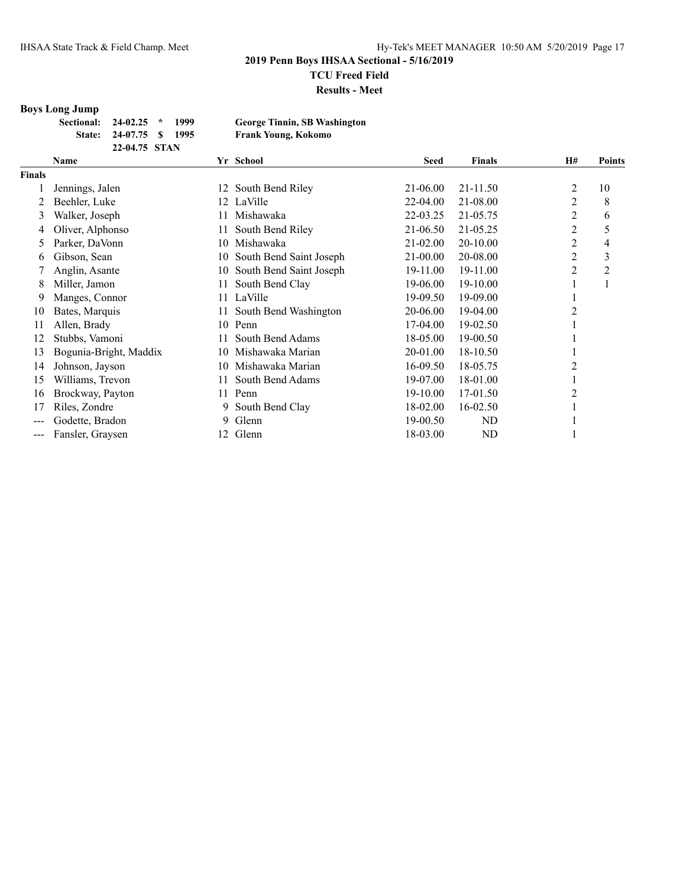**Results - Meet**

## **Boys Long Jump**

| Sectional: 24-02.25 * 1999 |                         |  |  |
|----------------------------|-------------------------|--|--|
|                            | State: 24-07.75 \$ 1995 |  |  |
|                            | 22-04.75 STAN           |  |  |

 $George Tinnin, SB Washington$ **State: 24-07.75 \$ 1995 Frank Young, Kokomo**

|               | Name                   |     | Yr School               | <b>Seed</b> | Finals   | <b>H#</b>      | <b>Points</b> |
|---------------|------------------------|-----|-------------------------|-------------|----------|----------------|---------------|
| <b>Finals</b> |                        |     |                         |             |          |                |               |
|               | Jennings, Jalen        | 12  | South Bend Riley        | 21-06.00    | 21-11.50 | 2              | 10            |
|               | Beehler, Luke          | 12  | LaVille                 | 22-04.00    | 21-08.00 | 2              | 8             |
| 3             | Walker, Joseph         | 11  | Mishawaka               | 22-03.25    | 21-05.75 | 2              | 6             |
| 4             | Oliver, Alphonso       | 11  | South Bend Riley        | 21-06.50    | 21-05.25 | 2              | 5             |
| 5             | Parker, DaVonn         | 10  | Mishawaka               | 21-02.00    | 20-10.00 | 2              | 4             |
| 6             | Gibson, Sean           | 10  | South Bend Saint Joseph | 21-00.00    | 20-08.00 | 2              | 3             |
|               | Anglin, Asante         | 10  | South Bend Saint Joseph | 19-11.00    | 19-11.00 | $\overline{2}$ | 2             |
| 8             | Miller, Jamon          | 11  | South Bend Clay         | 19-06.00    | 19-10.00 |                | 1             |
| 9             | Manges, Connor         |     | 11 LaVille              | 19-09.50    | 19-09.00 |                |               |
| 10            | Bates, Marquis         | 11  | South Bend Washington   | 20-06.00    | 19-04.00 | 2              |               |
| 11            | Allen, Brady           | 10  | Penn                    | 17-04.00    | 19-02.50 |                |               |
| 12            | Stubbs, Vamoni         | 11  | South Bend Adams        | 18-05.00    | 19-00.50 |                |               |
| 13            | Bogunia-Bright, Maddix | 10  | Mishawaka Marian        | 20-01.00    | 18-10.50 |                |               |
| 14            | Johnson, Jayson        | 10  | Mishawaka Marian        | 16-09.50    | 18-05.75 | 2              |               |
| 15            | Williams, Trevon       | 11. | South Bend Adams        | 19-07.00    | 18-01.00 |                |               |
| 16            | Brockway, Payton       | 11  | Penn                    | 19-10.00    | 17-01.50 | 2              |               |
| 17            | Riles, Zondre          | 9.  | South Bend Clay         | 18-02.00    | 16-02.50 |                |               |
| $---$         | Godette, Bradon        | 9.  | Glenn                   | 19-00.50    | ND       |                |               |
| $---$         | Fansler, Graysen       | 12  | Glenn                   | 18-03.00    | ND       |                |               |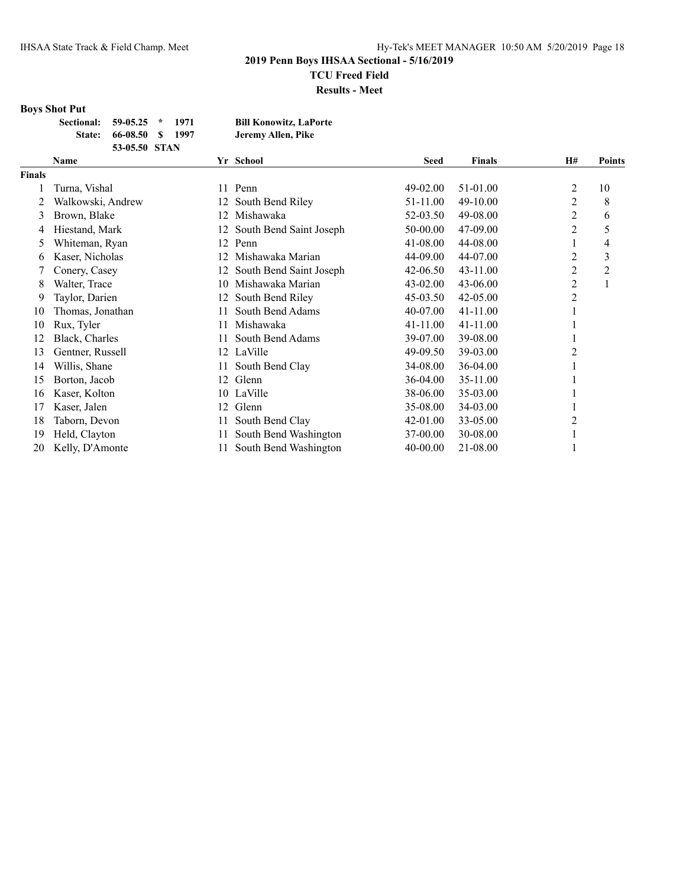## **Boys Shot Put**

| Sectional: 59-05.25 * |                         | - 1971 | <b>Bill Konowitz, LaPorte</b> |
|-----------------------|-------------------------|--------|-------------------------------|
|                       | State: 66-08.50 \$ 1997 |        | Jeremy Allen, Pike            |
|                       | 53-05.50 STAN           |        |                               |

|               | Name              |     | Yr School               | <b>Seed</b> | <b>Finals</b> | <b>H#</b>      | <b>Points</b>  |
|---------------|-------------------|-----|-------------------------|-------------|---------------|----------------|----------------|
| <b>Finals</b> |                   |     |                         |             |               |                |                |
|               | Turna, Vishal     | 11  | Penn                    | 49-02.00    | 51-01.00      | 2              | 10             |
|               | Walkowski, Andrew | 12  | South Bend Riley        | 51-11.00    | 49-10.00      | 2              | 8              |
| 3             | Brown, Blake      | 12. | Mishawaka               | 52-03.50    | 49-08.00      | 2              | 6              |
| 4             | Hiestand, Mark    | 12  | South Bend Saint Joseph | 50-00.00    | 47-09.00      | $\overline{c}$ | 5              |
| 5             | Whiteman, Ryan    | 12  | Penn                    | 41-08.00    | 44-08.00      | 1              | 4              |
| 6             | Kaser, Nicholas   | 12. | Mishawaka Marian        | 44-09.00    | 44-07.00      | 2              | 3              |
|               | Conery, Casey     | 12. | South Bend Saint Joseph | 42-06.50    | 43-11.00      | $\overline{2}$ | $\overline{2}$ |
| 8             | Walter, Trace     | 10  | Mishawaka Marian        | 43-02.00    | 43-06.00      | 2              |                |
| 9             | Taylor, Darien    | 12  | South Bend Riley        | 45-03.50    | $42 - 05.00$  | 2              |                |
| 10            | Thomas, Jonathan  | 11  | South Bend Adams        | 40-07.00    | 41-11.00      |                |                |
| 10            | Rux, Tyler        | 11  | Mishawaka               | 41-11.00    | $41 - 11.00$  |                |                |
| 12            | Black, Charles    |     | South Bend Adams        | 39-07.00    | 39-08.00      |                |                |
| 13            | Gentner, Russell  | 12  | LaVille                 | 49-09.50    | 39-03.00      | 2              |                |
| 14            | Willis, Shane     | 11  | South Bend Clay         | 34-08.00    | 36-04.00      |                |                |
| 15            | Borton, Jacob     | 12  | Glenn                   | 36-04.00    | 35-11.00      |                |                |
| 16            | Kaser, Kolton     | 10  | LaVille                 | 38-06.00    | 35-03.00      |                |                |
| 17            | Kaser, Jalen      | 12. | Glenn                   | 35-08.00    | 34-03.00      |                |                |
| 18            | Taborn, Devon     | 11  | South Bend Clay         | 42-01.00    | 33-05.00      | 2              |                |
| 19            | Held, Clayton     | 11  | South Bend Washington   | 37-00.00    | 30-08.00      | 1              |                |
| 20            | Kelly, D'Amonte   |     | South Bend Washington   | 40-00.00    | 21-08.00      |                |                |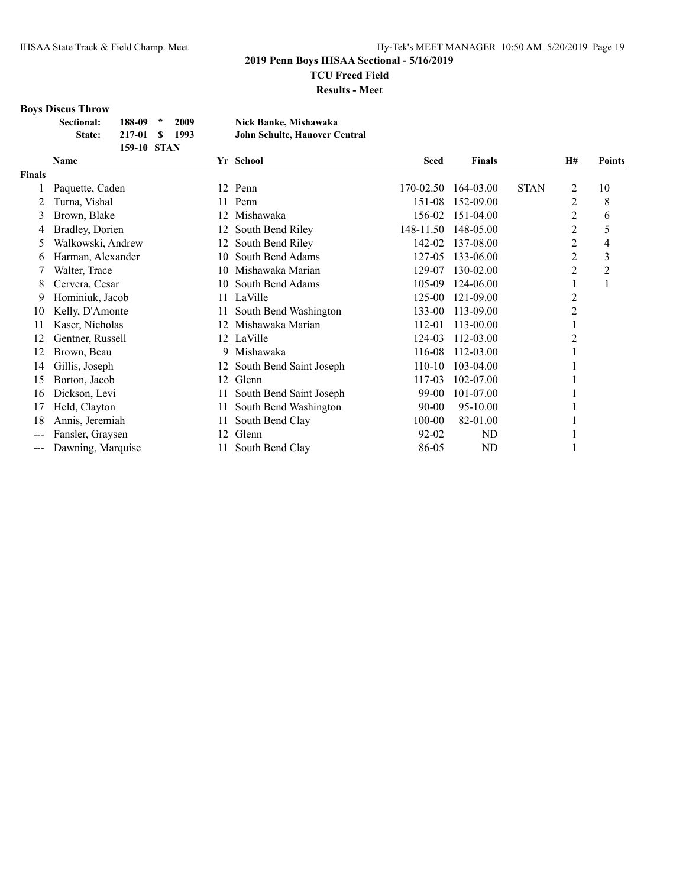**Results - Meet**

# **Boys Discus Throw**

| <b>Sectional:</b> | $188-09$ *  | 2009  | Nick Banke, Mishawaka         |
|-------------------|-------------|-------|-------------------------------|
| <b>State:</b>     | $217-01$ S  | -1993 | John Schulte, Hanover Central |
|                   | 159-10 STAN |       |                               |

|               | Name              |     | Yr School               | <b>Seed</b> | <b>Finals</b> |             | <b>H#</b> | <b>Points</b> |
|---------------|-------------------|-----|-------------------------|-------------|---------------|-------------|-----------|---------------|
| <b>Finals</b> |                   |     |                         |             |               |             |           |               |
|               | Paquette, Caden   |     | 12 Penn                 | 170-02.50   | 164-03.00     | <b>STAN</b> | 2         | 10            |
|               | Turna, Vishal     | 11  | Penn                    | 151-08      | 152-09.00     |             | 2         | 8             |
| 3             | Brown, Blake      | 12. | Mishawaka               | 156-02      | 151-04.00     |             | 2         | 6             |
|               | Bradley, Dorien   | 12. | South Bend Riley        | 148-11.50   | 148-05.00     |             | 2         | 5             |
| 5             | Walkowski, Andrew | 12. | South Bend Riley        | 142-02      | 137-08.00     |             | 2         | 4             |
| 6             | Harman, Alexander | 10. | South Bend Adams        | 127-05      | 133-06.00     |             | 2         | 3             |
|               | Walter, Trace     | 10. | Mishawaka Marian        | 129-07      | 130-02.00     |             | 2         | 2             |
| 8             | Cervera, Cesar    | 10  | South Bend Adams        | 105-09      | 124-06.00     |             |           |               |
| 9             | Hominiuk, Jacob   | 11  | LaVille                 | 125-00      | 121-09.00     |             | 2         |               |
| 10            | Kelly, D'Amonte   | 11  | South Bend Washington   | 133-00      | 113-09.00     |             | 2         |               |
| 11            | Kaser, Nicholas   |     | Mishawaka Marian        | 112-01      | 113-00.00     |             |           |               |
| 12            | Gentner, Russell  | 12  | LaVille                 | 124-03      | 112-03.00     |             | 2         |               |
| 12            | Brown, Beau       | 9   | Mishawaka               | 116-08      | 112-03.00     |             |           |               |
| 14            | Gillis, Joseph    | 12  | South Bend Saint Joseph | 110-10      | 103-04.00     |             |           |               |
| 15            | Borton, Jacob     | 12  | Glenn                   | 117-03      | 102-07.00     |             |           |               |
| 16            | Dickson, Levi     | 11  | South Bend Saint Joseph | 99-00       | 101-07.00     |             |           |               |
| 17            | Held, Clayton     | 11  | South Bend Washington   | 90-00       | 95-10.00      |             |           |               |
| 18            | Annis, Jeremiah   | 11  | South Bend Clay         | 100-00      | 82-01.00      |             |           |               |
| $---$         | Fansler, Graysen  | 12  | Glenn                   | $92 - 02$   | ND            |             |           |               |
| ---           | Dawning, Marquise | 11  | South Bend Clay         | 86-05       | ND            |             |           |               |